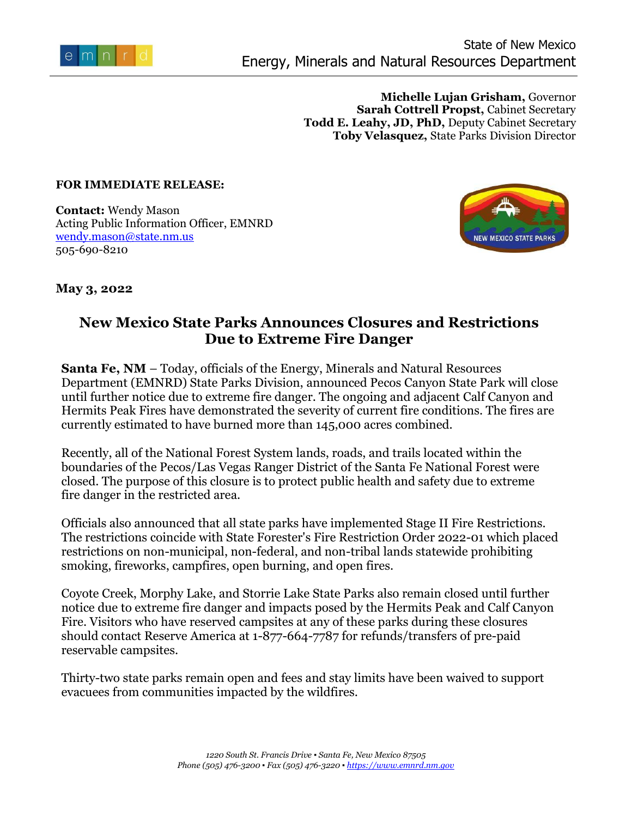

**Michelle Lujan Grisham,** Governor **Sarah Cottrell Propst,** Cabinet Secretary **Todd E. Leahy, JD, PhD,** Deputy Cabinet Secretary **Toby Velasquez,** State Parks Division Director

## **FOR IMMEDIATE RELEASE:**

**Contact:** Wendy Mason Acting Public Information Officer, EMNRD [wendy.mason@state.nm.us](mailto:wendy.mason@state.nm.us) 505-690-8210



**May 3, 2022**

## **New Mexico State Parks Announces Closures and Restrictions Due to Extreme Fire Danger**

**Santa Fe, NM** – Today, officials of the Energy, Minerals and Natural Resources Department (EMNRD) State Parks Division, announced Pecos Canyon State Park will close until further notice due to extreme fire danger. The ongoing and adjacent Calf Canyon and Hermits Peak Fires have demonstrated the severity of current fire conditions. The fires are currently estimated to have burned more than 145,000 acres combined.

Recently, all of the National Forest System lands, roads, and trails located within the boundaries of the Pecos/Las Vegas Ranger District of the Santa Fe National Forest were closed. The purpose of this closure is to protect public health and safety due to extreme fire danger in the restricted area.

Officials also announced that all state parks have implemented Stage II Fire Restrictions. The restrictions coincide with State Forester's Fire Restriction Order 2022-01 which placed restrictions on non-municipal, non-federal, and non-tribal lands statewide prohibiting smoking, fireworks, campfires, open burning, and open fires.

Coyote Creek, Morphy Lake, and Storrie Lake State Parks also remain closed until further notice due to extreme fire danger and impacts posed by the Hermits Peak and Calf Canyon Fire. Visitors who have reserved campsites at any of these parks during these closures should contact Reserve America at 1-877-664-7787 for refunds/transfers of pre-paid reservable campsites.

Thirty-two state parks remain open and fees and stay limits have been waived to support evacuees from communities impacted by the wildfires.